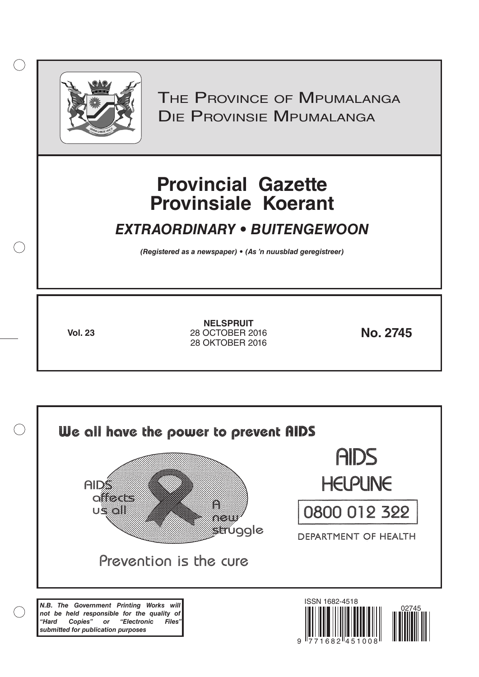

 $( )$ 

THE PROVINCE OF MPUMALANGA Die Provinsie Mpumalanga

# **Provincial Gazette Provinsiale Koerant**

# *EXTRAORDINARY • BUITENGEWOON*

*(Registered as a newspaper) • (As 'n nuusblad geregistreer)*

**Vol. 23 No. 2745** 28 OCTOBER 2016 **NELSPRUIT** 28 OKTOBER 2016

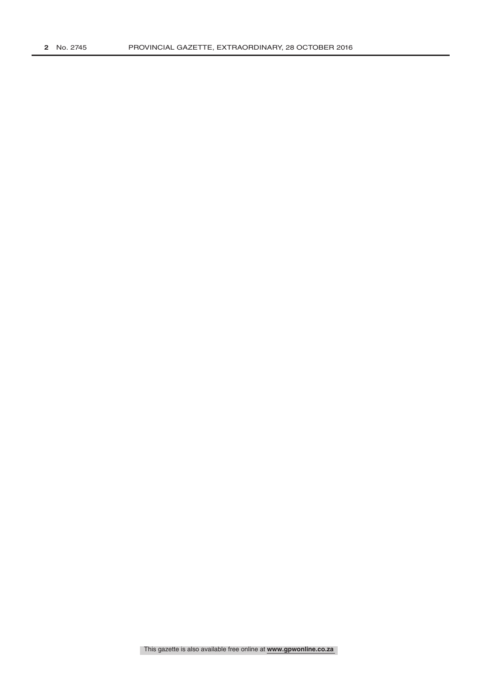This gazette is also available free online at **www.gpwonline.co.za**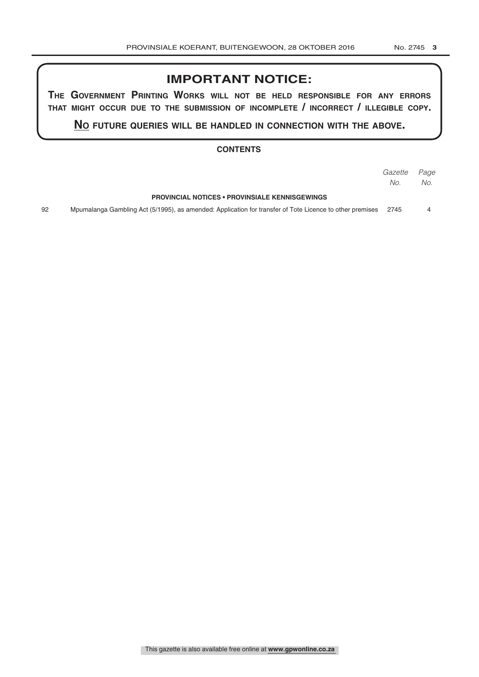# **IMPORTANT NOTICE:**

**The GovernmenT PrinTinG Works Will noT be held resPonsible for any errors ThaT miGhT occur due To The submission of incomPleTe / incorrecT / illeGible coPy.**

**no fuTure queries Will be handled in connecTion WiTh The above.**

#### **CONTENTS**

|    |                                                                                                               | Gazette | Page           |
|----|---------------------------------------------------------------------------------------------------------------|---------|----------------|
|    |                                                                                                               | No.     | No.            |
|    | <b>PROVINCIAL NOTICES • PROVINSIALE KENNISGEWINGS</b>                                                         |         |                |
| 92 | Mpumalanga Gambling Act (5/1995), as amended: Application for transfer of Tote Licence to other premises 2745 |         | $\overline{4}$ |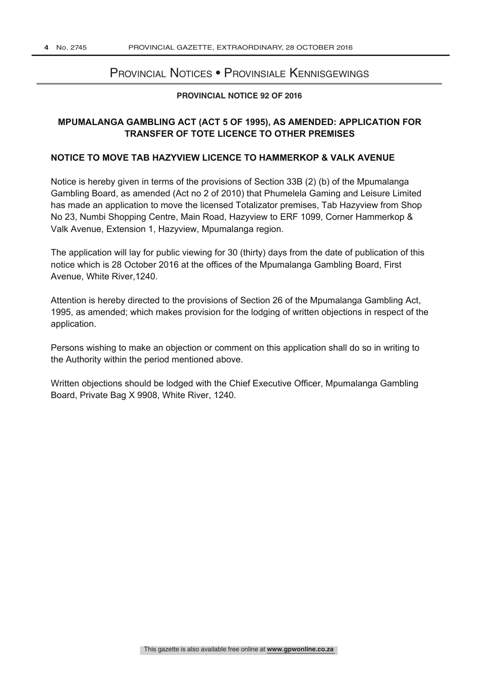# Provincial Notices • Provinsiale Kennisgewings

#### **PROVINCIAL NOTICE 92 OF 2016**

## **MPUMALANGA GAMBLING ACT (ACT 5 OF 1995), AS AMENDED: APPLICATION FOR TRANSFER OF TOTE LICENCE TO OTHER PREMISES**

### **NOTICE TO MOVE TAB HAZYVIEW LICENCE TO HAMMERKOP & VALK AVENUE**

Notice is hereby given in terms of the provisions of Section 33B (2) (b) of the Mpumalanga Gambling Board, as amended (Act no 2 of 2010) that Phumelela Gaming and Leisure Limited has made an application to move the licensed Totalizator premises, Tab Hazyview from Shop No 23, Numbi Shopping Centre, Main Road, Hazyview to ERF 1099, Corner Hammerkop & Valk Avenue, Extension 1, Hazyview, Mpumalanga region.

The application will lay for public viewing for 30 (thirty) days from the date of publication of this notice which is 28 October 2016 at the offices of the Mpumalanga Gambling Board, First Avenue, White River,1240.

Attention is hereby directed to the provisions of Section 26 of the Mpumalanga Gambling Act, 1995, as amended; which makes provision for the lodging of written objections in respect of the application.

Persons wishing to make an objection or comment on this application shall do so in writing to the Authority within the period mentioned above.

Written objections should be lodged with the Chief Executive Officer, Mpumalanga Gambling Board, Private Bag X 9908, White River, 1240.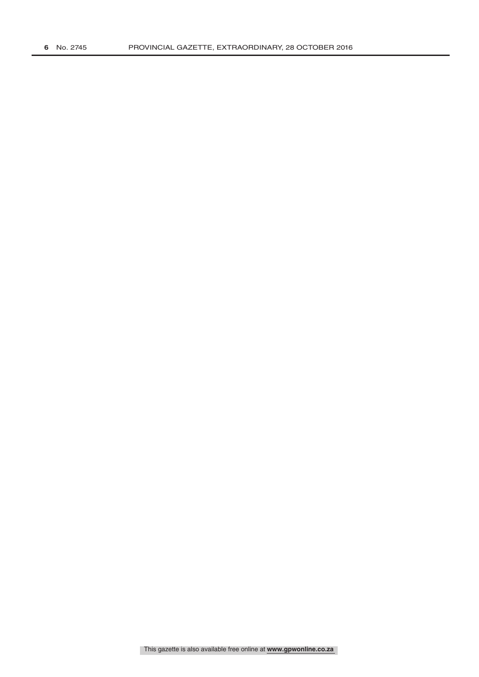This gazette is also available free online at **www.gpwonline.co.za**